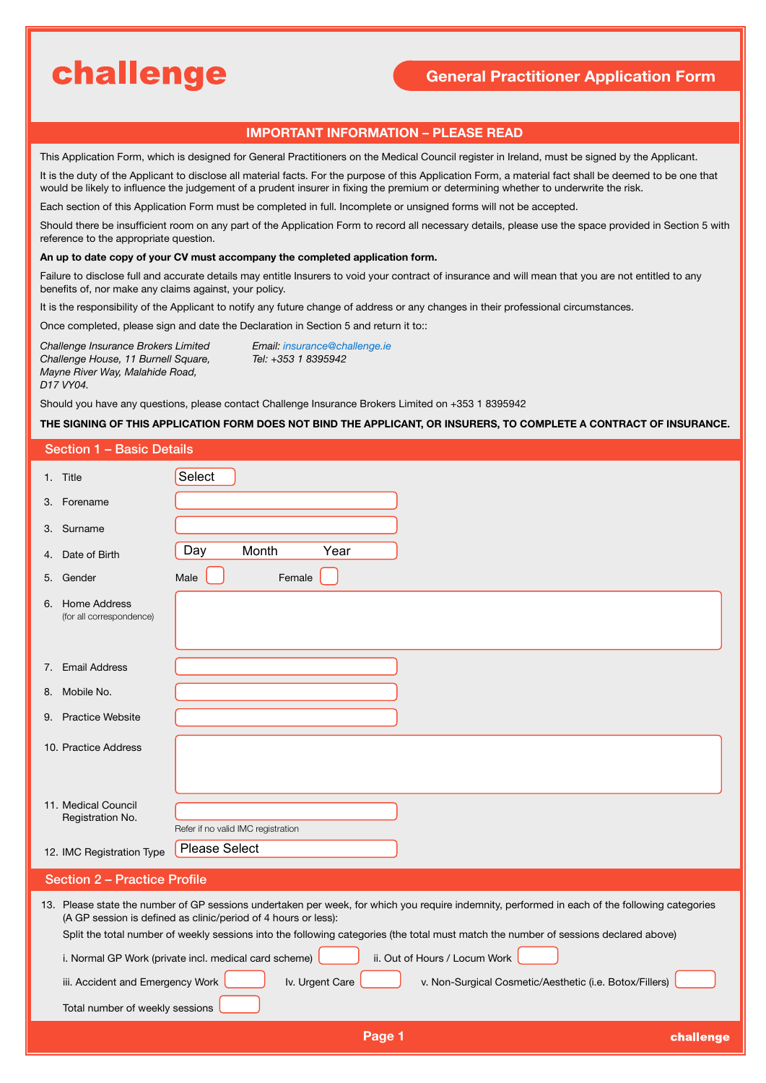# challenge

## **General Practitioner Application Form**

## **IMPORTANT INFORMATION – PLEASE READ**

This Application Form, which is designed for General Practitioners on the Medical Council register in Ireland, must be signed by the Applicant.

It is the duty of the Applicant to disclose all material facts. For the purpose of this Application Form, a material fact shall be deemed to be one that would be likely to influence the judgement of a prudent insurer in fixing the premium or determining whether to underwrite the risk.

Each section of this Application Form must be completed in full. Incomplete or unsigned forms will not be accepted.

Should there be insufficient room on any part of the Application Form to record all necessary details, please use the space provided in Section 5 with reference to the appropriate question.

#### **An up to date copy of your CV must accompany the completed application form.**

Failure to disclose full and accurate details may entitle Insurers to void your contract of insurance and will mean that you are not entitled to any benefits of, nor make any claims against, your policy.

It is the responsibility of the Applicant to notify any future change of address or any changes in their professional circumstances.

Once completed, please sign and date the Declaration in Section 5 and return it to::

*Challenge Insurance Brokers Limited Email: insurance@challenge.ie Challenge House, 11 Burnell Square, Mayne River Way, Malahide Road, D17 VY04.*

Should you have any questions, please contact Challenge Insurance Brokers Limited on +353 1 8395942

### **THE SIGNING OF THIS APPLICATION FORM DOES NOT BIND THE APPLICANT, OR INSURERS, TO COMPLETE A CONTRACT OF INSURANCE.**

|    | <b>Section 1 - Basic Details</b>                                    |                                                                                                                                                                                                                                                                                                                                                                                                                                                                                                                                  |  |  |  |  |  |  |  |
|----|---------------------------------------------------------------------|----------------------------------------------------------------------------------------------------------------------------------------------------------------------------------------------------------------------------------------------------------------------------------------------------------------------------------------------------------------------------------------------------------------------------------------------------------------------------------------------------------------------------------|--|--|--|--|--|--|--|
|    | 1. Title                                                            | Select                                                                                                                                                                                                                                                                                                                                                                                                                                                                                                                           |  |  |  |  |  |  |  |
| З. | Forename                                                            |                                                                                                                                                                                                                                                                                                                                                                                                                                                                                                                                  |  |  |  |  |  |  |  |
|    | 3. Surname                                                          |                                                                                                                                                                                                                                                                                                                                                                                                                                                                                                                                  |  |  |  |  |  |  |  |
|    | 4. Date of Birth                                                    | Day<br>Month<br>Year                                                                                                                                                                                                                                                                                                                                                                                                                                                                                                             |  |  |  |  |  |  |  |
|    | 5. Gender                                                           | Male<br>Female                                                                                                                                                                                                                                                                                                                                                                                                                                                                                                                   |  |  |  |  |  |  |  |
|    | 6. Home Address<br>(for all correspondence)                         |                                                                                                                                                                                                                                                                                                                                                                                                                                                                                                                                  |  |  |  |  |  |  |  |
| 7. | <b>Email Address</b>                                                |                                                                                                                                                                                                                                                                                                                                                                                                                                                                                                                                  |  |  |  |  |  |  |  |
| 8. | Mobile No.                                                          |                                                                                                                                                                                                                                                                                                                                                                                                                                                                                                                                  |  |  |  |  |  |  |  |
|    | 9. Practice Website                                                 |                                                                                                                                                                                                                                                                                                                                                                                                                                                                                                                                  |  |  |  |  |  |  |  |
|    | 10. Practice Address                                                |                                                                                                                                                                                                                                                                                                                                                                                                                                                                                                                                  |  |  |  |  |  |  |  |
|    | 11. Medical Council<br>Registration No.                             | Refer if no valid IMC registration                                                                                                                                                                                                                                                                                                                                                                                                                                                                                               |  |  |  |  |  |  |  |
|    | 12. IMC Registration Type                                           | <b>Please Select</b>                                                                                                                                                                                                                                                                                                                                                                                                                                                                                                             |  |  |  |  |  |  |  |
|    | <b>Section 2 - Practice Profile</b>                                 |                                                                                                                                                                                                                                                                                                                                                                                                                                                                                                                                  |  |  |  |  |  |  |  |
|    | iii. Accident and Emergency Work<br>Total number of weekly sessions | 13. Please state the number of GP sessions undertaken per week, for which you require indemnity, performed in each of the following categories<br>(A GP session is defined as clinic/period of 4 hours or less):<br>Split the total number of weekly sessions into the following categories (the total must match the number of sessions declared above)<br>i. Normal GP Work (private incl. medical card scheme)<br>ii. Out of Hours / Locum Work<br>Iv. Urgent Care<br>v. Non-Surgical Cosmetic/Aesthetic (i.e. Botox/Fillers) |  |  |  |  |  |  |  |
|    |                                                                     | Page 1<br>challenge                                                                                                                                                                                                                                                                                                                                                                                                                                                                                                              |  |  |  |  |  |  |  |